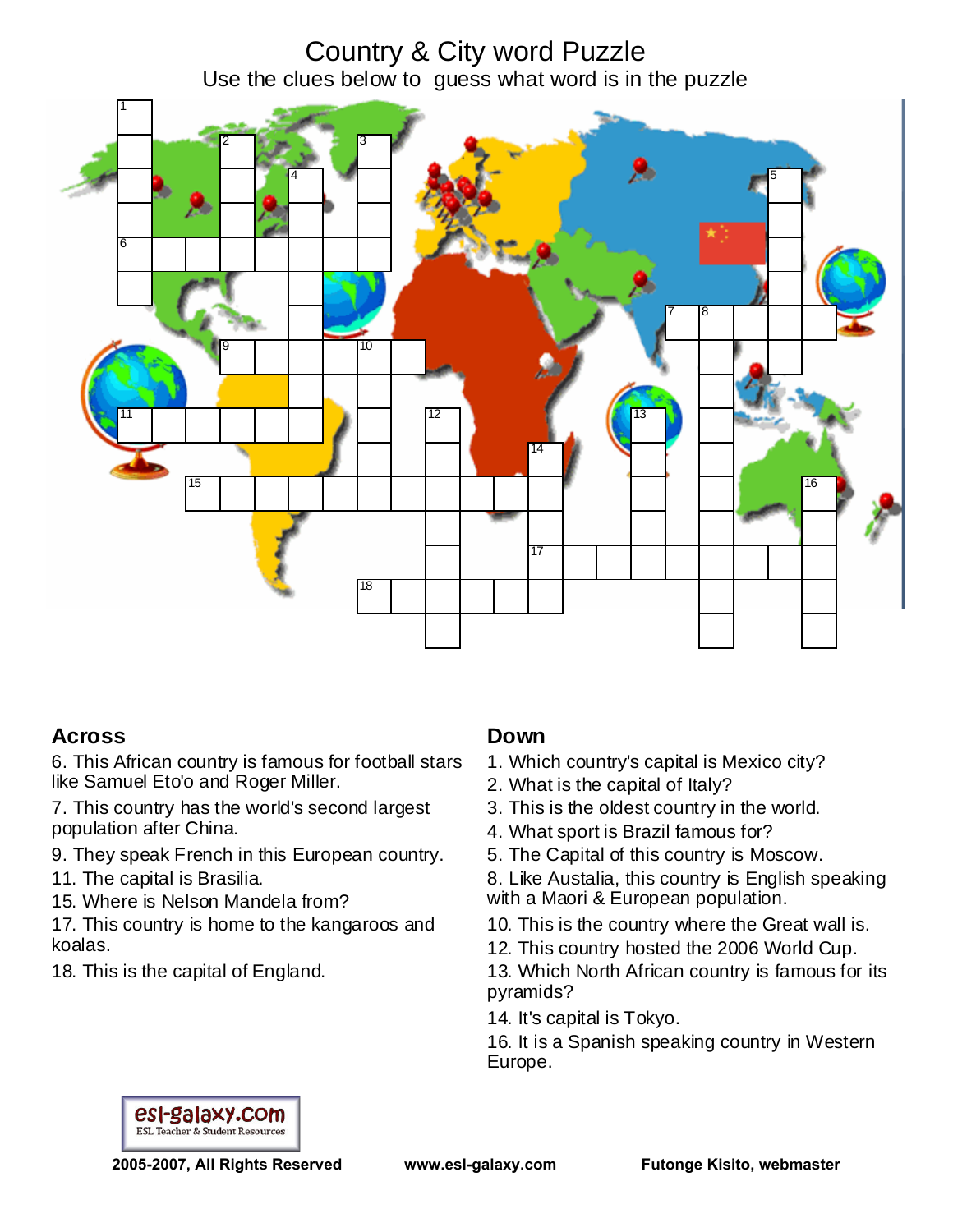Country & City word Puzzle Use the clues below to guess what word is in the puzzle



## **Across**

6. This African country is famous for football stars like Samuel Eto'o and Roger Miller.

7. This country has the world's second largest population after China.

- 9. They speak French in this European country.
- 11. The capital is Brasilia.
- 15. Where is Nelson Mandela from?

17. This country is home to the kangaroos and koalas.

18. This is the capital of England.

### **Down**

- 1. Which country's capital is Mexico city?
- 2. What is the capital of Italy?
- 3. This is the oldest country in the world.
- 4. What sport is Brazil famous for?
- 5. The Capital of this country is Moscow.

8. Like Austalia, this country is English speaking with a Maori & European population.

- 10. This is the country where the Great wall is.
- 12. This country hosted the 2006 World Cup.

13. Which North African country is famous for its pyramids?

14. It's capital is Tokyo.

16. It is a Spanish speaking country in Western Europe.



**2005-2007, All Rights Reserved www.esl-galaxy.com Futonge Kisito, webmaster**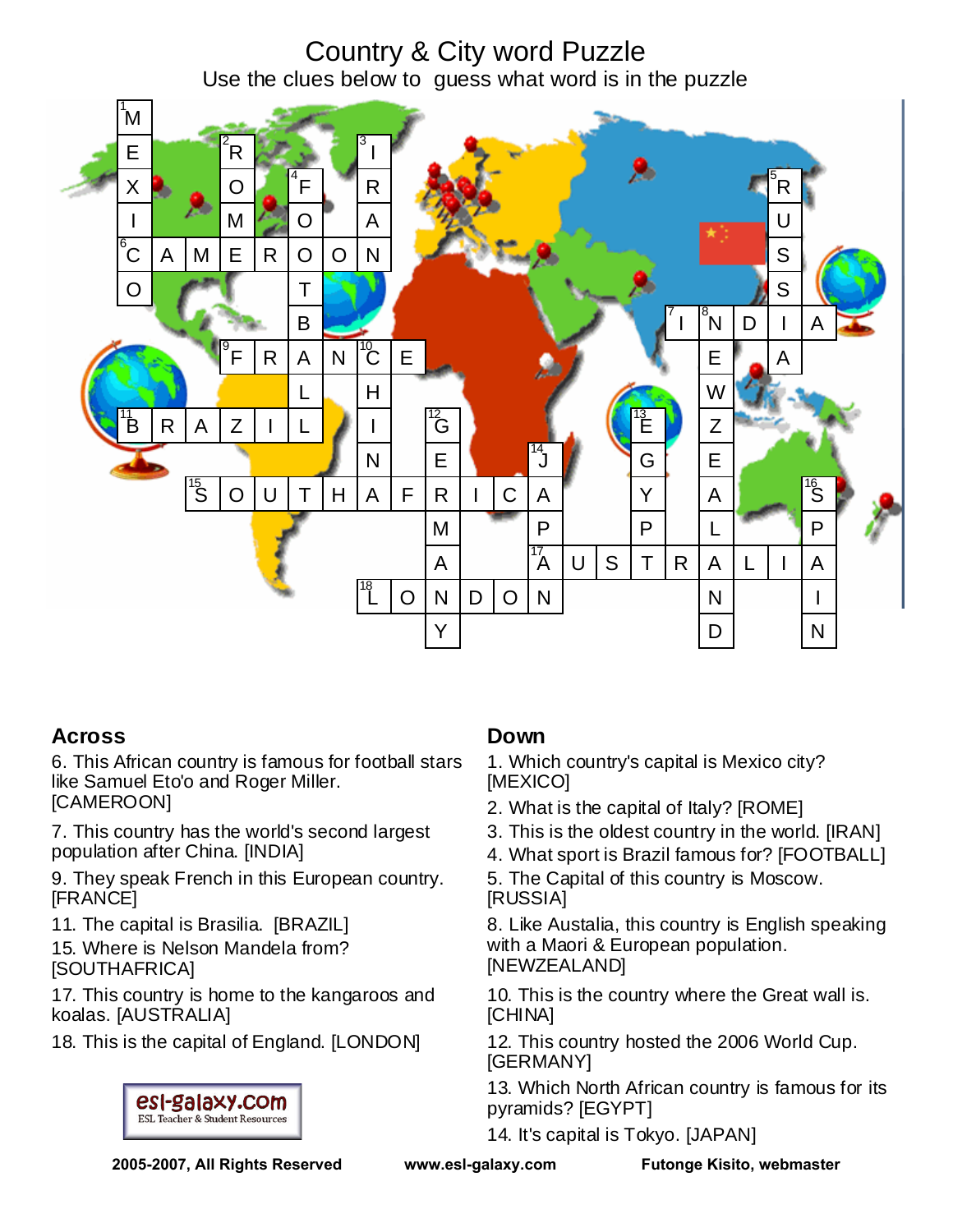# Country & City word Puzzle Use the clues below to guess what word is in the puzzle



## **Across**

6. This African country is famous for football stars like Samuel Eto'o and Roger Miller. [CAMEROON]

7. This country has the world's second largest population after China. [INDIA]

9. They speak French in this European country. [FRANCE]

11. The capital is Brasilia. [BRAZIL] 15. Where is Nelson Mandela from?

[SOUTHAFRICA]

17. This country is home to the kangaroos and koalas. [AUSTRALIA]

18. This is the capital of England. [LONDON]



### **Down**

1. Which country's capital is Mexico city? [MEXICO]

- 2. What is the capital of Italy? [ROME]
- 3. This is the oldest country in the world. [IRAN]
- 4. What sport is Brazil famous for? [FOOTBALL]
- 5. The Capital of this country is Moscow. [RUSSIA]

8. Like Austalia, this country is English speaking with a Maori & European population. [NEWZEALAND]

10. This is the country where the Great wall is. [CHINA]

12. This country hosted the 2006 World Cup. [GERMANY]

13. Which North African country is famous for its pyramids? [EGYPT]

14. It's capital is Tokyo. [JAPAN]

**2005-2007, All Rights Reserved www.esl-galaxy.com Futonge Kisito, webmaster**